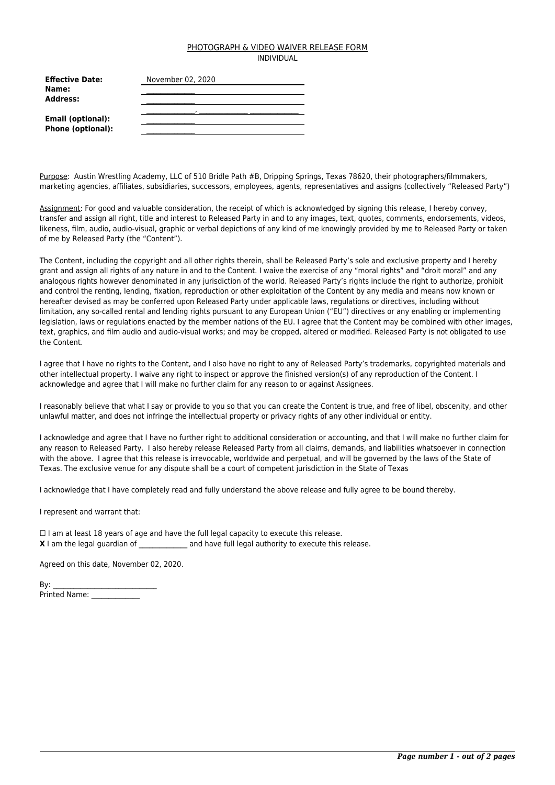#### PHOTOGRAPH & VIDEO WAIVER RELEASE FORM INDIVIDUAL

| <b>Effective Date:</b>                        | November 02, 2020 |
|-----------------------------------------------|-------------------|
| Name:<br>Address:                             |                   |
| Email (optional):<br><b>Phone (optional):</b> |                   |

Purpose: Austin Wrestling Academy, LLC of 510 Bridle Path #B, Dripping Springs, Texas 78620, their photographers/filmmakers, marketing agencies, affiliates, subsidiaries, successors, employees, agents, representatives and assigns (collectively "Released Party")

Assignment: For good and valuable consideration, the receipt of which is acknowledged by signing this release, I hereby convey, transfer and assign all right, title and interest to Released Party in and to any images, text, quotes, comments, endorsements, videos, likeness, film, audio, audio-visual, graphic or verbal depictions of any kind of me knowingly provided by me to Released Party or taken of me by Released Party (the "Content").

The Content, including the copyright and all other rights therein, shall be Released Party's sole and exclusive property and I hereby grant and assign all rights of any nature in and to the Content. I waive the exercise of any "moral rights" and "droit moral" and any analogous rights however denominated in any jurisdiction of the world. Released Party's rights include the right to authorize, prohibit and control the renting, lending, fixation, reproduction or other exploitation of the Content by any media and means now known or hereafter devised as may be conferred upon Released Party under applicable laws, regulations or directives, including without limitation, any so-called rental and lending rights pursuant to any European Union ("EU") directives or any enabling or implementing legislation, laws or regulations enacted by the member nations of the EU. I agree that the Content may be combined with other images, text, graphics, and film audio and audio-visual works; and may be cropped, altered or modified. Released Party is not obligated to use the Content.

I agree that I have no rights to the Content, and I also have no right to any of Released Party's trademarks, copyrighted materials and other intellectual property. I waive any right to inspect or approve the finished version(s) of any reproduction of the Content. I acknowledge and agree that I will make no further claim for any reason to or against Assignees.

I reasonably believe that what I say or provide to you so that you can create the Content is true, and free of libel, obscenity, and other unlawful matter, and does not infringe the intellectual property or privacy rights of any other individual or entity.

I acknowledge and agree that I have no further right to additional consideration or accounting, and that I will make no further claim for any reason to Released Party. I also hereby release Released Party from all claims, demands, and liabilities whatsoever in connection with the above. I agree that this release is irrevocable, worldwide and perpetual, and will be governed by the laws of the State of Texas. The exclusive venue for any dispute shall be a court of competent jurisdiction in the State of Texas

I acknowledge that I have completely read and fully understand the above release and fully agree to be bound thereby.

I represent and warrant that:

 $\Box$  I am at least 18 years of age and have the full legal capacity to execute this release. **X** I am the legal guardian of \_\_\_\_\_\_\_\_\_\_\_\_\_\_\_ and have full legal authority to execute this release.

Agreed on this date, November 02, 2020.

| By:           |  |
|---------------|--|
| Printed Name: |  |